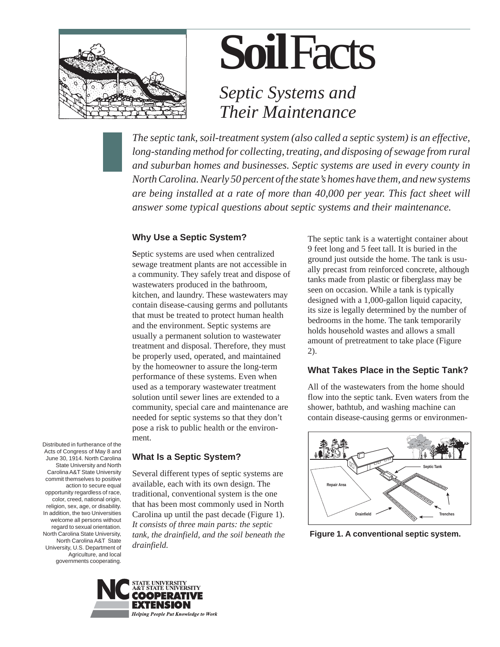

## *Septic Systems and Their Maintenance*

*The septic tank, soil-treatment system (also called a septic system) is an effective, long-standing method for collecting, treating, and disposing of sewage from rural and suburban homes and businesses. Septic systems are used in every county in North Carolina. Nearly 50 percent of the state's homes have them, and new systems are being installed at a rate of more than 40,000 per year. This fact sheet will answer some typical questions about septic systems and their maintenance.*

## **Why Use a Septic System?**

**S**eptic systems are used when centralized sewage treatment plants are not accessible in a community. They safely treat and dispose of wastewaters produced in the bathroom, kitchen, and laundry. These wastewaters may contain disease-causing germs and pollutants that must be treated to protect human health and the environment. Septic systems are usually a permanent solution to wastewater treatment and disposal. Therefore, they must be properly used, operated, and maintained by the homeowner to assure the long-term performance of these systems. Even when used as a temporary wastewater treatment solution until sewer lines are extended to a community, special care and maintenance are needed for septic systems so that they don't pose a risk to public health or the environment.

Distributed in furtherance of the Acts of Congress of May 8 and June 30, 1914. North Carolina State University and North Carolina A&T State University commit themselves to positive action to secure equal opportunity regardless of race, color, creed, national origin, religion, sex, age, or disability. In addition, the two Universities welcome all persons without regard to sexual orientation. North Carolina State University, North Carolina A&T State University, U.S. Department of Agriculture, and local governments cooperating.

#### **What Is a Septic System?**

Several different types of septic systems are available, each with its own design. The traditional, conventional system is the one that has been most commonly used in North Carolina up until the past decade (Figure 1). *It consists of three main parts: the septic tank, the drainfield, and the soil beneath the drainfield.*



The septic tank is a watertight container about 9 feet long and 5 feet tall. It is buried in the ground just outside the home. The tank is usually precast from reinforced concrete, although tanks made from plastic or fiberglass may be seen on occasion. While a tank is typically designed with a 1,000-gallon liquid capacity, its size is legally determined by the number of bedrooms in the home. The tank temporarily holds household wastes and allows a small amount of pretreatment to take place (Figure 2).

#### **What Takes Place in the Septic Tank?**

All of the wastewaters from the home should flow into the septic tank. Even waters from the shower, bathtub, and washing machine can contain disease-causing germs or environmen-



**Figure 1. A conventional septic system.**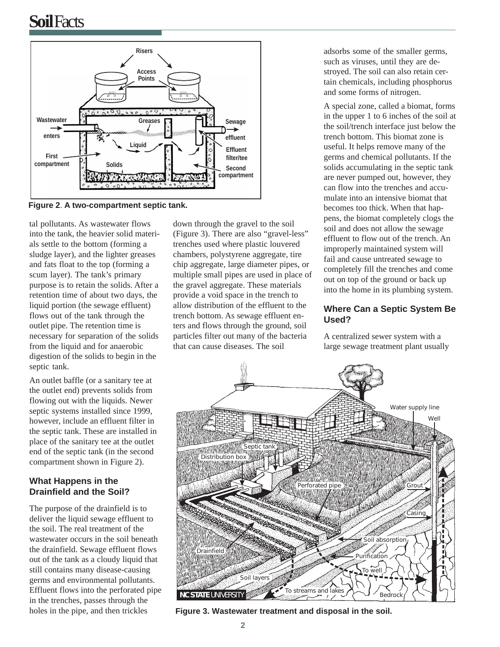

**Figure 2**. **A two-compartment septic tank.**

tal pollutants. As wastewater flows into the tank, the heavier solid materials settle to the bottom (forming a sludge layer), and the lighter greases and fats float to the top (forming a scum layer). The tank's primary purpose is to retain the solids. After a retention time of about two days, the liquid portion (the sewage effluent) flows out of the tank through the outlet pipe. The retention time is necessary for separation of the solids from the liquid and for anaerobic digestion of the solids to begin in the septic tank.

An outlet baffle (or a sanitary tee at the outlet end) prevents solids from flowing out with the liquids. Newer septic systems installed since 1999, however, include an effluent filter in the septic tank. These are installed in place of the sanitary tee at the outlet end of the septic tank (in the second compartment shown in Figure 2).

### **What Happens in the Drainfield and the Soil?**

The purpose of the drainfield is to deliver the liquid sewage effluent to the soil. The real treatment of the wastewater occurs in the soil beneath the drainfield. Sewage effluent flows out of the tank as a cloudy liquid that still contains many disease-causing germs and environmental pollutants. Effluent flows into the perforated pipe in the trenches, passes through the holes in the pipe, and then trickles

down through the gravel to the soil (Figure 3). There are also "gravel-less" trenches used where plastic louvered chambers, polystyrene aggregate, tire chip aggregate, large diameter pipes, or multiple small pipes are used in place of the gravel aggregate. These materials provide a void space in the trench to allow distribution of the effluent to the trench bottom. As sewage effluent enters and flows through the ground, soil particles filter out many of the bacteria that can cause diseases. The soil

adsorbs some of the smaller germs, such as viruses, until they are destroyed. The soil can also retain certain chemicals, including phosphorus and some forms of nitrogen.

A special zone, called a biomat, forms in the upper 1 to 6 inches of the soil at the soil/trench interface just below the trench bottom. This biomat zone is useful. It helps remove many of the germs and chemical pollutants. If the solids accumulating in the septic tank are never pumped out, however, they can flow into the trenches and accumulate into an intensive biomat that becomes too thick. When that happens, the biomat completely clogs the soil and does not allow the sewage effluent to flow out of the trench. An improperly maintained system will fail and cause untreated sewage to completely fill the trenches and come out on top of the ground or back up into the home in its plumbing system.

#### **Where Can a Septic System Be Used?**

A centralized sewer system with a large sewage treatment plant usually



**Figure 3. Wastewater treatment and disposal in the soil.**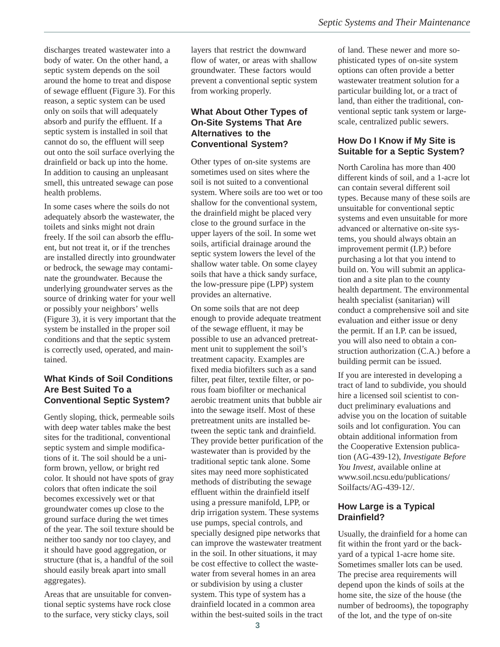discharges treated wastewater into a body of water. On the other hand, a septic system depends on the soil around the home to treat and dispose of sewage effluent (Figure 3). For this reason, a septic system can be used only on soils that will adequately absorb and purify the effluent. If a septic system is installed in soil that cannot do so, the effluent will seep out onto the soil surface overlying the drainfield or back up into the home. In addition to causing an unpleasant smell, this untreated sewage can pose health problems.

In some cases where the soils do not adequately absorb the wastewater, the toilets and sinks might not drain freely. If the soil can absorb the effluent, but not treat it, or if the trenches are installed directly into groundwater or bedrock, the sewage may contaminate the groundwater. Because the underlying groundwater serves as the source of drinking water for your well or possibly your neighbors' wells (Figure 3), it is very important that the system be installed in the proper soil conditions and that the septic system is correctly used, operated, and maintained.

#### **What Kinds of Soil Conditions Are Best Suited To a Conventional Septic System?**

Gently sloping, thick, permeable soils with deep water tables make the best sites for the traditional, conventional septic system and simple modifications of it. The soil should be a uniform brown, yellow, or bright red color. It should not have spots of gray colors that often indicate the soil becomes excessively wet or that groundwater comes up close to the ground surface during the wet times of the year. The soil texture should be neither too sandy nor too clayey, and it should have good aggregation, or structure (that is, a handful of the soil should easily break apart into small aggregates).

Areas that are unsuitable for conventional septic systems have rock close to the surface, very sticky clays, soil

layers that restrict the downward flow of water, or areas with shallow groundwater. These factors would prevent a conventional septic system from working properly.

#### **What About Other Types of On-Site Systems That Are Alternatives to the Conventional System?**

Other types of on-site systems are sometimes used on sites where the soil is not suited to a conventional system. Where soils are too wet or too shallow for the conventional system, the drainfield might be placed very close to the ground surface in the upper layers of the soil. In some wet soils, artificial drainage around the septic system lowers the level of the shallow water table. On some clayey soils that have a thick sandy surface, the low-pressure pipe (LPP) system provides an alternative.

On some soils that are not deep enough to provide adequate treatment of the sewage effluent, it may be possible to use an advanced pretreatment unit to supplement the soil's treatment capacity. Examples are fixed media biofilters such as a sand filter, peat filter, textile filter, or porous foam biofilter or mechanical aerobic treatment units that bubble air into the sewage itself. Most of these pretreatment units are installed between the septic tank and drainfield. They provide better purification of the wastewater than is provided by the traditional septic tank alone. Some sites may need more sophisticated methods of distributing the sewage effluent within the drainfield itself using a pressure manifold, LPP, or drip irrigation system. These systems use pumps, special controls, and specially designed pipe networks that can improve the wastewater treatment in the soil. In other situations, it may be cost effective to collect the wastewater from several homes in an area or subdivision by using a cluster system. This type of system has a drainfield located in a common area within the best-suited soils in the tract

of land. These newer and more sophisticated types of on-site system options can often provide a better wastewater treatment solution for a particular building lot, or a tract of land, than either the traditional, conventional septic tank system or largescale, centralized public sewers.

### **How Do I Know if My Site is Suitable for a Septic System?**

North Carolina has more than 400 different kinds of soil, and a 1-acre lot can contain several different soil types. Because many of these soils are unsuitable for conventional septic systems and even unsuitable for more advanced or alternative on-site systems, you should always obtain an improvement permit (I.P.) before purchasing a lot that you intend to build on. You will submit an application and a site plan to the county health department. The environmental health specialist (sanitarian) will conduct a comprehensive soil and site evaluation and either issue or deny the permit. If an I.P. can be issued, you will also need to obtain a construction authorization (C.A.) before a building permit can be issued.

If you are interested in developing a tract of land to subdivide, you should hire a licensed soil scientist to conduct preliminary evaluations and advise you on the location of suitable soils and lot configuration. You can obtain additional information from the Cooperative Extension publication (AG-439-12), *Investigate Before You Invest,* available online at www.soil.ncsu.edu/publications/ Soilfacts/AG-439-12/.

#### **How Large is a Typical Drainfield?**

Usually, the drainfield for a home can fit within the front yard or the backyard of a typical 1-acre home site. Sometimes smaller lots can be used. The precise area requirements will depend upon the kinds of soils at the home site, the size of the house (the number of bedrooms), the topography of the lot, and the type of on-site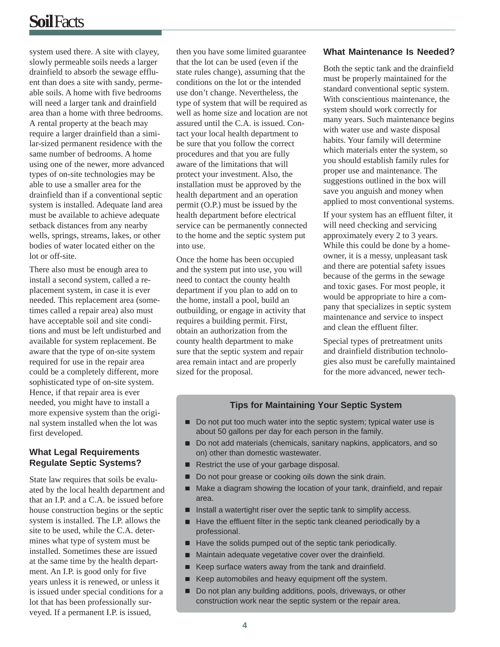system used there. A site with clayey, slowly permeable soils needs a larger drainfield to absorb the sewage effluent than does a site with sandy, permeable soils. A home with five bedrooms will need a larger tank and drainfield area than a home with three bedrooms. A rental property at the beach may require a larger drainfield than a similar-sized permanent residence with the same number of bedrooms. A home using one of the newer, more advanced types of on-site technologies may be able to use a smaller area for the drainfield than if a conventional septic system is installed. Adequate land area must be available to achieve adequate setback distances from any nearby wells, springs, streams, lakes, or other bodies of water located either on the lot or off-site.

There also must be enough area to install a second system, called a replacement system, in case it is ever needed. This replacement area (sometimes called a repair area) also must have acceptable soil and site conditions and must be left undisturbed and available for system replacement. Be aware that the type of on-site system required for use in the repair area could be a completely different, more sophisticated type of on-site system. Hence, if that repair area is ever needed, you might have to install a more expensive system than the original system installed when the lot was first developed.

### **What Legal Requirements Regulate Septic Systems?**

State law requires that soils be evaluated by the local health department and that an I.P. and a C.A. be issued before house construction begins or the septic system is installed. The I.P. allows the site to be used, while the C.A. determines what type of system must be installed. Sometimes these are issued at the same time by the health department. An I.P. is good only for five years unless it is renewed, or unless it is issued under special conditions for a lot that has been professionally surveyed. If a permanent I.P. is issued,

then you have some limited guarantee that the lot can be used (even if the state rules change), assuming that the conditions on the lot or the intended use don't change. Nevertheless, the type of system that will be required as well as home size and location are not assured until the C.A. is issued. Contact your local health department to be sure that you follow the correct procedures and that you are fully aware of the limitations that will protect your investment. Also, the installation must be approved by the health department and an operation permit (O.P.) must be issued by the health department before electrical service can be permanently connected to the home and the septic system put into use.

Once the home has been occupied and the system put into use, you will need to contact the county health department if you plan to add on to the home, install a pool, build an outbuilding, or engage in activity that requires a building permit. First, obtain an authorization from the county health department to make sure that the septic system and repair area remain intact and are properly sized for the proposal.

#### **What Maintenance Is Needed?**

Both the septic tank and the drainfield must be properly maintained for the standard conventional septic system. With conscientious maintenance, the system should work correctly for many years. Such maintenance begins with water use and waste disposal habits. Your family will determine which materials enter the system, so you should establish family rules for proper use and maintenance. The suggestions outlined in the box will save you anguish and money when applied to most conventional systems.

If your system has an effluent filter, it will need checking and servicing approximately every 2 to 3 years. While this could be done by a homeowner, it is a messy, unpleasant task and there are potential safety issues because of the germs in the sewage and toxic gases. For most people, it would be appropriate to hire a company that specializes in septic system maintenance and service to inspect and clean the effluent filter.

Special types of pretreatment units and drainfield distribution technologies also must be carefully maintained for the more advanced, newer tech-

#### **Tips for Maintaining Your Septic System**

- Do not put too much water into the septic system; typical water use is about 50 gallons per day for each person in the family.
- Do not add materials (chemicals, sanitary napkins, applicators, and so on) other than domestic wastewater.
- Restrict the use of your garbage disposal.
- Do not pour grease or cooking oils down the sink drain.
- Make a diagram showing the location of your tank, drainfield, and repair area.
- $\blacksquare$  Install a watertight riser over the septic tank to simplify access.
- Have the effluent filter in the septic tank cleaned periodically by a professional.
- Have the solids pumped out of the septic tank periodically.
- Maintain adequate vegetative cover over the drainfield.
- Keep surface waters away from the tank and drainfield.
- Keep automobiles and heavy equipment off the system.
- Do not plan any building additions, pools, driveways, or other construction work near the septic system or the repair area.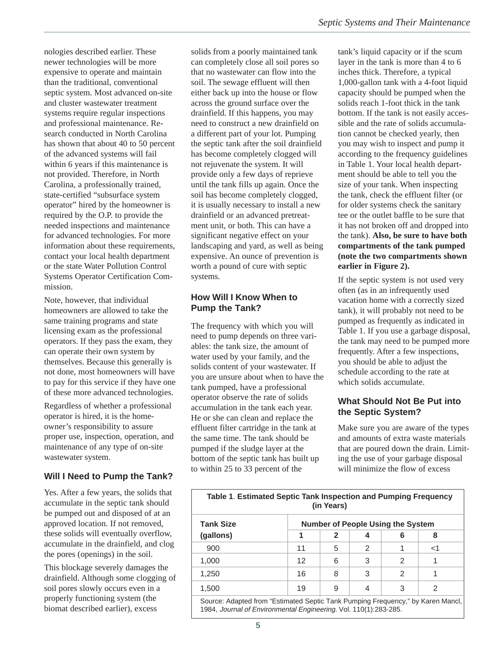nologies described earlier. These newer technologies will be more expensive to operate and maintain than the traditional, conventional septic system. Most advanced on-site and cluster wastewater treatment systems require regular inspections and professional maintenance. Research conducted in North Carolina has shown that about 40 to 50 percent of the advanced systems will fail within 6 years if this maintenance is not provided. Therefore, in North Carolina, a professionally trained, state-certified "subsurface system operator" hired by the homeowner is required by the O.P. to provide the needed inspections and maintenance for advanced technologies. For more information about these requirements, contact your local health department or the state Water Pollution Control Systems Operator Certification Commission.

Note, however, that individual homeowners are allowed to take the same training programs and state licensing exam as the professional operators. If they pass the exam, they can operate their own system by themselves. Because this generally is not done, most homeowners will have to pay for this service if they have one of these more advanced technologies.

Regardless of whether a professional operator is hired, it is the homeowner's responsibility to assure proper use, inspection, operation, and maintenance of any type of on-site wastewater system.

#### **Will I Need to Pump the Tank?**

Yes. After a few years, the solids that accumulate in the septic tank should be pumped out and disposed of at an approved location. If not removed, these solids will eventually overflow, accumulate in the drainfield, and clog the pores (openings) in the soil.

This blockage severely damages the drainfield. Although some clogging of soil pores slowly occurs even in a properly functioning system (the biomat described earlier), excess

solids from a poorly maintained tank can completely close all soil pores so that no wastewater can flow into the soil. The sewage effluent will then either back up into the house or flow across the ground surface over the drainfield. If this happens, you may need to construct a new drainfield on a different part of your lot. Pumping the septic tank after the soil drainfield has become completely clogged will not rejuvenate the system. It will provide only a few days of reprieve until the tank fills up again. Once the soil has become completely clogged, it is usually necessary to install a new drainfield or an advanced pretreatment unit, or both. This can have a significant negative effect on your landscaping and yard, as well as being expensive. An ounce of prevention is worth a pound of cure with septic systems.

### **How Will I Know When to Pump the Tank?**

The frequency with which you will need to pump depends on three variables: the tank size, the amount of water used by your family, and the solids content of your wastewater. If you are unsure about when to have the tank pumped, have a professional operator observe the rate of solids accumulation in the tank each year. He or she can clean and replace the effluent filter cartridge in the tank at the same time. The tank should be pumped if the sludge layer at the bottom of the septic tank has built up to within 25 to 33 percent of the

tank's liquid capacity or if the scum layer in the tank is more than 4 to 6 inches thick. Therefore, a typical 1,000-gallon tank with a 4-foot liquid capacity should be pumped when the solids reach 1-foot thick in the tank bottom. If the tank is not easily accessible and the rate of solids accumulation cannot be checked yearly, then you may wish to inspect and pump it according to the frequency guidelines in Table 1. Your local health department should be able to tell you the size of your tank. When inspecting the tank, check the effluent filter (or for older systems check the sanitary tee or the outlet baffle to be sure that it has not broken off and dropped into the tank). **Also, be sure to have both compartments of the tank pumped (note the two compartments shown earlier in Figure 2).**

If the septic system is not used very often (as in an infrequently used vacation home with a correctly sized tank), it will probably not need to be pumped as frequently as indicated in Table 1. If you use a garbage disposal, the tank may need to be pumped more frequently. After a few inspections, you should be able to adjust the schedule according to the rate at which solids accumulate.

### **What Should Not Be Put into the Septic System?**

Make sure you are aware of the types and amounts of extra waste materials that are poured down the drain. Limiting the use of your garbage disposal will minimize the flow of excess

| Table 1. Estimated Septic Tank Inspection and Pumping Frequency<br>(in Years)                                                                       |                                          |   |   |   |       |
|-----------------------------------------------------------------------------------------------------------------------------------------------------|------------------------------------------|---|---|---|-------|
| <b>Tank Size</b>                                                                                                                                    | <b>Number of People Using the System</b> |   |   |   |       |
| (gallons)                                                                                                                                           |                                          | 2 |   | 6 | 8     |
| 900                                                                                                                                                 | 11                                       | 5 | 2 |   | $<$ 1 |
| 1,000                                                                                                                                               | 12                                       | 6 | 3 | 2 |       |
| 1,250                                                                                                                                               | 16                                       | 8 | 3 | 2 |       |
| 1,500                                                                                                                                               | 19                                       | 9 | 4 | 3 | 2     |
| Source: Adapted from "Estimated Septic Tank Pumping Frequency," by Karen Mancl,<br>1984, Journal of Environmental Engineering, Vol. 110(1):283-285. |                                          |   |   |   |       |